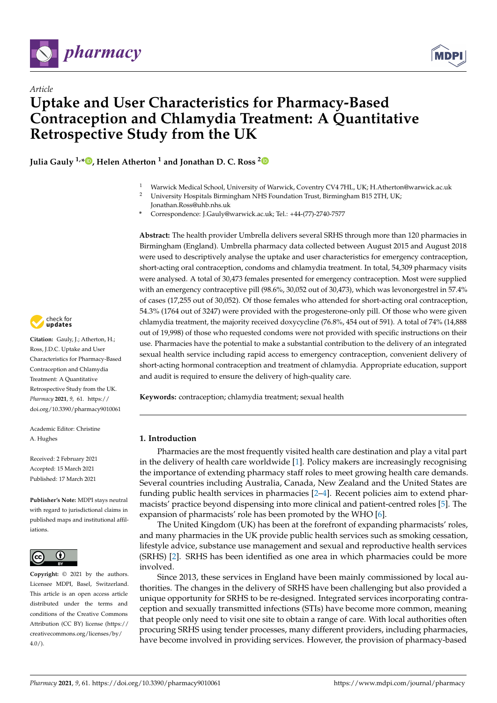

*Article*



# **Uptake and User Characteristics for Pharmacy-Based Contraception and Chlamydia Treatment: A Quantitative Retrospective Study from the UK**

**Julia Gauly 1,\* [,](https://orcid.org/0000-0002-7835-0882) Helen Atherton <sup>1</sup> and Jonathan D. C. Ross [2](https://orcid.org/0000-0002-4193-6919)**

- <sup>1</sup> Warwick Medical School, University of Warwick, Coventry CV4 7HL, UK; H.Atherton@warwick.ac.uk
- <sup>2</sup> University Hospitals Birmingham NHS Foundation Trust, Birmingham B15 2TH, UK; Jonathan.Ross@uhb.nhs.uk
- **\*** Correspondence: J.Gauly@warwick.ac.uk; Tel.: +44-(77)-2740-7577

**Abstract:** The health provider Umbrella delivers several SRHS through more than 120 pharmacies in Birmingham (England). Umbrella pharmacy data collected between August 2015 and August 2018 were used to descriptively analyse the uptake and user characteristics for emergency contraception, short-acting oral contraception, condoms and chlamydia treatment. In total, 54,309 pharmacy visits were analysed. A total of 30,473 females presented for emergency contraception. Most were supplied with an emergency contraceptive pill (98.6%, 30,052 out of 30,473), which was levonorgestrel in 57.4% of cases (17,255 out of 30,052). Of those females who attended for short-acting oral contraception, 54.3% (1764 out of 3247) were provided with the progesterone-only pill. Of those who were given chlamydia treatment, the majority received doxycycline (76.8%, 454 out of 591). A total of 74% (14,888 out of 19,998) of those who requested condoms were not provided with specific instructions on their use. Pharmacies have the potential to make a substantial contribution to the delivery of an integrated sexual health service including rapid access to emergency contraception, convenient delivery of short-acting hormonal contraception and treatment of chlamydia. Appropriate education, support and audit is required to ensure the delivery of high-quality care.

**Keywords:** contraception; chlamydia treatment; sexual health

## **1. Introduction**

Pharmacies are the most frequently visited health care destination and play a vital part in the delivery of health care worldwide [\[1\]](#page-7-0). Policy makers are increasingly recognising the importance of extending pharmacy staff roles to meet growing health care demands. Several countries including Australia, Canada, New Zealand and the United States are funding public health services in pharmacies [\[2](#page-7-1)[–4\]](#page-7-2). Recent policies aim to extend pharmacists' practice beyond dispensing into more clinical and patient-centred roles [\[5\]](#page-7-3). The expansion of pharmacists' role has been promoted by the WHO [\[6\]](#page-7-4).

The United Kingdom (UK) has been at the forefront of expanding pharmacists' roles, and many pharmacies in the UK provide public health services such as smoking cessation, lifestyle advice, substance use management and sexual and reproductive health services (SRHS) [\[2\]](#page-7-1). SRHS has been identified as one area in which pharmacies could be more involved.

Since 2013, these services in England have been mainly commissioned by local authorities. The changes in the delivery of SRHS have been challenging but also provided a unique opportunity for SRHS to be re-designed. Integrated services incorporating contraception and sexually transmitted infections (STIs) have become more common, meaning that people only need to visit one site to obtain a range of care. With local authorities often procuring SRHS using tender processes, many different providers, including pharmacies, have become involved in providing services. However, the provision of pharmacy-based



**Citation:** Gauly, J.; Atherton, H.; Ross, J.D.C. Uptake and User Characteristics for Pharmacy-Based Contraception and Chlamydia Treatment: A Quantitative Retrospective Study from the UK. *Pharmacy* **2021**, *9*, 61. [https://](https://doi.org/10.3390/pharmacy9010061) [doi.org/10.3390/pharmacy9010061](https://doi.org/10.3390/pharmacy9010061)

Academic Editor: Christine A. Hughes

Received: 2 February 2021 Accepted: 15 March 2021 Published: 17 March 2021

**Publisher's Note:** MDPI stays neutral with regard to jurisdictional claims in published maps and institutional affiliations.



**Copyright:** © 2021 by the authors. Licensee MDPI, Basel, Switzerland. This article is an open access article distributed under the terms and conditions of the Creative Commons Attribution (CC BY) license (https:/[/](https://creativecommons.org/licenses/by/4.0/) [creativecommons.org/licenses/by/](https://creativecommons.org/licenses/by/4.0/)  $4.0/$ ).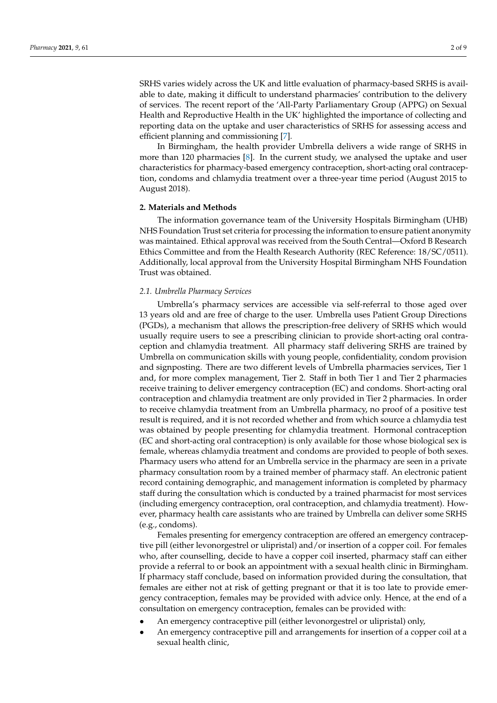SRHS varies widely across the UK and little evaluation of pharmacy-based SRHS is available to date, making it difficult to understand pharmacies' contribution to the delivery of services. The recent report of the 'All-Party Parliamentary Group (APPG) on Sexual Health and Reproductive Health in the UK' highlighted the importance of collecting and reporting data on the uptake and user characteristics of SRHS for assessing access and efficient planning and commissioning [\[7\]](#page-7-5).

In Birmingham, the health provider Umbrella delivers a wide range of SRHS in more than 120 pharmacies [\[8\]](#page-8-0). In the current study, we analysed the uptake and user characteristics for pharmacy-based emergency contraception, short-acting oral contraception, condoms and chlamydia treatment over a three-year time period (August 2015 to August 2018).

### **2. Materials and Methods**

The information governance team of the University Hospitals Birmingham (UHB) NHS Foundation Trust set criteria for processing the information to ensure patient anonymity was maintained. Ethical approval was received from the South Central—Oxford B Research Ethics Committee and from the Health Research Authority (REC Reference: 18/SC/0511). Additionally, local approval from the University Hospital Birmingham NHS Foundation Trust was obtained.

## *2.1. Umbrella Pharmacy Services*

Umbrella's pharmacy services are accessible via self-referral to those aged over 13 years old and are free of charge to the user. Umbrella uses Patient Group Directions (PGDs), a mechanism that allows the prescription-free delivery of SRHS which would usually require users to see a prescribing clinician to provide short-acting oral contraception and chlamydia treatment. All pharmacy staff delivering SRHS are trained by Umbrella on communication skills with young people, confidentiality, condom provision and signposting. There are two different levels of Umbrella pharmacies services, Tier 1 and, for more complex management, Tier 2. Staff in both Tier 1 and Tier 2 pharmacies receive training to deliver emergency contraception (EC) and condoms. Short-acting oral contraception and chlamydia treatment are only provided in Tier 2 pharmacies. In order to receive chlamydia treatment from an Umbrella pharmacy, no proof of a positive test result is required, and it is not recorded whether and from which source a chlamydia test was obtained by people presenting for chlamydia treatment. Hormonal contraception (EC and short-acting oral contraception) is only available for those whose biological sex is female, whereas chlamydia treatment and condoms are provided to people of both sexes. Pharmacy users who attend for an Umbrella service in the pharmacy are seen in a private pharmacy consultation room by a trained member of pharmacy staff. An electronic patient record containing demographic, and management information is completed by pharmacy staff during the consultation which is conducted by a trained pharmacist for most services (including emergency contraception, oral contraception, and chlamydia treatment). However, pharmacy health care assistants who are trained by Umbrella can deliver some SRHS (e.g., condoms).

Females presenting for emergency contraception are offered an emergency contraceptive pill (either levonorgestrel or ulipristal) and/or insertion of a copper coil. For females who, after counselling, decide to have a copper coil inserted, pharmacy staff can either provide a referral to or book an appointment with a sexual health clinic in Birmingham. If pharmacy staff conclude, based on information provided during the consultation, that females are either not at risk of getting pregnant or that it is too late to provide emergency contraception, females may be provided with advice only. Hence, at the end of a consultation on emergency contraception, females can be provided with:

- An emergency contraceptive pill (either levonorgestrel or ulipristal) only,
- An emergency contraceptive pill and arrangements for insertion of a copper coil at a sexual health clinic,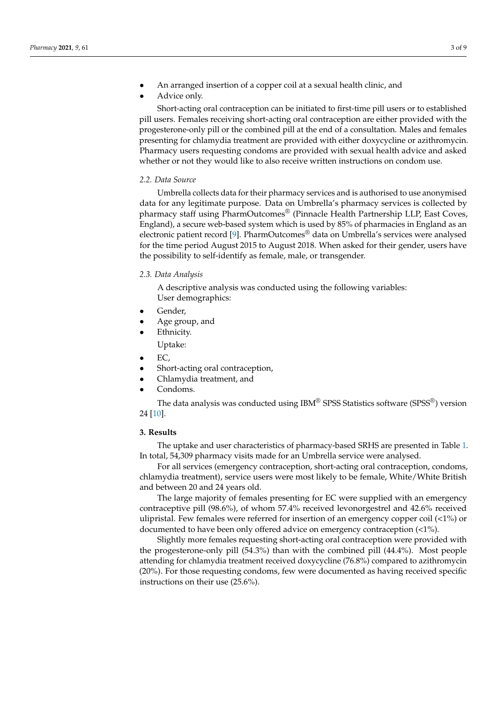- An arranged insertion of a copper coil at a sexual health clinic, and
- Advice only.

Short-acting oral contraception can be initiated to first-time pill users or to established pill users. Females receiving short-acting oral contraception are either provided with the progesterone-only pill or the combined pill at the end of a consultation. Males and females presenting for chlamydia treatment are provided with either doxycycline or azithromycin. Pharmacy users requesting condoms are provided with sexual health advice and asked whether or not they would like to also receive written instructions on condom use.

## *2.2. Data Source*

Umbrella collects data for their pharmacy services and is authorised to use anonymised data for any legitimate purpose. Data on Umbrella's pharmacy services is collected by pharmacy staff using PharmOutcomes® (Pinnacle Health Partnership LLP, East Coves, England), a secure web-based system which is used by 85% of pharmacies in England as an electronic patient record [\[9\]](#page-8-1). PharmOutcomes® data on Umbrella's services were analysed for the time period August 2015 to August 2018. When asked for their gender, users have the possibility to self-identify as female, male, or transgender.

#### *2.3. Data Analysis*

A descriptive analysis was conducted using the following variables: User demographics:

- Gender,
- Age group, and
- Ethnicity.
	- Uptake:
- EC,
- Short-acting oral contraception,
- Chlamydia treatment, and
- Condoms.

The data analysis was conducted using IBM® SPSS Statistics software (SPSS®) version 24 [\[10\]](#page-8-2).

#### **3. Results**

The uptake and user characteristics of pharmacy-based SRHS are presented in Table [1.](#page-5-0) In total, 54,309 pharmacy visits made for an Umbrella service were analysed.

For all services (emergency contraception, short-acting oral contraception, condoms, chlamydia treatment), service users were most likely to be female, White/White British and between 20 and 24 years old.

The large majority of females presenting for EC were supplied with an emergency contraceptive pill (98.6%), of whom 57.4% received levonorgestrel and 42.6% received ulipristal. Few females were referred for insertion of an emergency copper coil  $\langle 1\% \rangle$  or documented to have been only offered advice on emergency contraception (<1%).

Slightly more females requesting short-acting oral contraception were provided with the progesterone-only pill (54.3%) than with the combined pill (44.4%). Most people attending for chlamydia treatment received doxycycline (76.8%) compared to azithromycin (20%). For those requesting condoms, few were documented as having received specific instructions on their use (25.6%).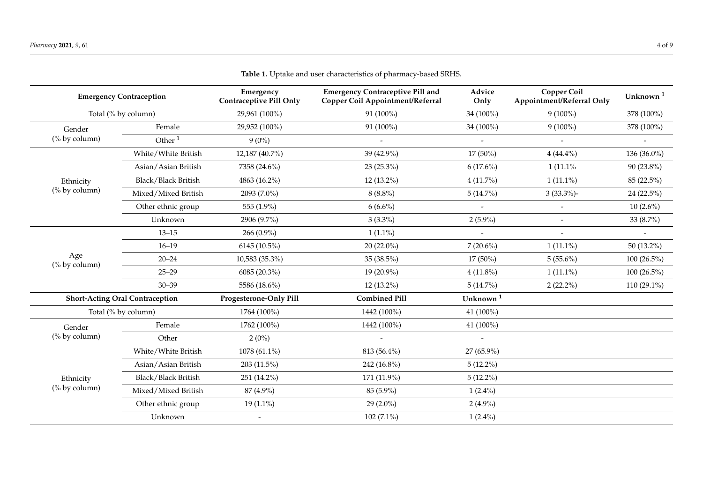| <b>Emergency Contraception</b>         |                     | Emergency<br><b>Contraceptive Pill Only</b> | <b>Emergency Contraceptive Pill and</b><br><b>Copper Coil Appointment/Referral</b> | Advice<br>Only           | <b>Copper Coil</b><br>Appointment/Referral Only | Unknown <sup>1</sup> |
|----------------------------------------|---------------------|---------------------------------------------|------------------------------------------------------------------------------------|--------------------------|-------------------------------------------------|----------------------|
| Total (% by column)                    |                     | 29,961 (100%)                               | 91 (100%)                                                                          | 34 (100%)                | $9(100\%)$                                      | 378 (100%)           |
| Gender<br>(% by column)                | Female              | 29,952 (100%)                               | 91 (100%)                                                                          | 34 (100%)                | $9(100\%)$                                      | 378 (100%)           |
|                                        | Other $1$           | $9(0\%)$                                    |                                                                                    |                          |                                                 |                      |
|                                        | White/White British | 12,187 (40.7%)                              | 39 (42.9%)                                                                         | $17(50\%)$               | $4(44.4\%)$                                     | 136 (36.0%)          |
|                                        | Asian/Asian British | 7358 (24.6%)                                | 23 (25.3%)                                                                         | $6(17.6\%)$              | $1(11.1\%$                                      | 90 (23.8%)           |
| Ethnicity                              | Black/Black British | 4863 (16.2%)                                | 12 (13.2%)                                                                         | $4(11.7\%)$              | $1(11.1\%)$                                     | 85 (22.5%)           |
| (% by column)                          | Mixed/Mixed British | 2093 (7.0%)                                 | $8(8.8\%)$                                                                         | $5(14.7\%)$              | $3(33.3\%)$ -                                   | 24 (22.5%)           |
|                                        | Other ethnic group  | 555 (1.9%)                                  | $6(6.6\%)$                                                                         |                          | $\blacksquare$                                  | $10(2.6\%)$          |
|                                        | Unknown             | 2906 (9.7%)                                 | $3(3.3\%)$                                                                         | $2(5.9\%)$               |                                                 | 33 (8.7%)            |
|                                        | $13 - 15$           | 266 (0.9%)                                  | $1(1.1\%)$                                                                         |                          |                                                 |                      |
|                                        | $16 - 19$           | 6145 (10.5%)                                | 20 (22.0%)                                                                         | $7(20.6\%)$              | $1(11.1\%)$                                     | 50 (13.2%)           |
| Age<br>(% by column)                   | $20 - 24$           | 10,583 (35.3%)                              | 35 (38.5%)                                                                         | $17(50\%)$               | $5(55.6\%)$                                     | 100 (26.5%)          |
|                                        | $25 - 29$           | 6085 (20.3%)                                | 19 (20.9%)                                                                         | $4(11.8\%)$              | $1(11.1\%)$                                     | 100 (26.5%)          |
|                                        | $30 - 39$           | 5586 (18.6%)                                | $12(13.2\%)$                                                                       | $5(14.7\%)$              | $2(22.2\%)$                                     | 110 (29.1%)          |
| <b>Short-Acting Oral Contraception</b> |                     | Progesterone-Only Pill                      | <b>Combined Pill</b>                                                               | Unknown <sup>1</sup>     |                                                 |                      |
| Total (% by column)                    |                     | 1764 (100%)                                 | 1442 (100%)                                                                        | 41 (100%)                |                                                 |                      |
| Gender<br>(% by column)                | Female              | 1762 (100%)                                 | 1442 (100%)                                                                        | 41 (100%)                |                                                 |                      |
|                                        | Other               | $2(0\%)$                                    | $\overline{a}$                                                                     | $\overline{\phantom{a}}$ |                                                 |                      |
| Ethnicity<br>(% by column)             | White/White British | 1078 (61.1%)                                | 813 (56.4%)                                                                        | 27 (65.9%)               |                                                 |                      |
|                                        | Asian/Asian British | 203 (11.5%)                                 | 242 (16.8%)                                                                        | $5(12.2\%)$              |                                                 |                      |
|                                        | Black/Black British | 251 (14.2%)                                 | 171 (11.9%)                                                                        | $5(12.2\%)$              |                                                 |                      |
|                                        | Mixed/Mixed British | 87 (4.9%)                                   | 85 (5.9%)                                                                          | $1(2.4\%)$               |                                                 |                      |
|                                        | Other ethnic group  | $19(1.1\%)$                                 | $29(2.0\%)$                                                                        | $2(4.9\%)$               |                                                 |                      |
|                                        | Unknown             | $\blacksquare$                              | 102 (7.1%)                                                                         | $1(2.4\%)$               |                                                 |                      |

**Table 1.** Uptake and user characteristics of pharmacy-based SRHS.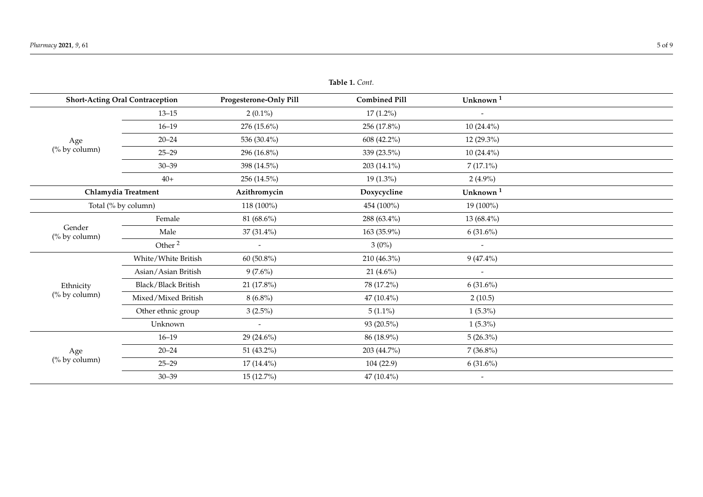| <b>Table 1.</b> Cont.                  |                     |                        |                      |                          |  |  |
|----------------------------------------|---------------------|------------------------|----------------------|--------------------------|--|--|
| <b>Short-Acting Oral Contraception</b> |                     | Progesterone-Only Pill | <b>Combined Pill</b> | Unknown <sup>1</sup>     |  |  |
| Age<br>(% by column)                   | $13 - 15$           | $2(0.1\%)$             | $17(1.2\%)$          | $\overline{\phantom{a}}$ |  |  |
|                                        | $16 - 19$           | 276 (15.6%)            | 256 (17.8%)          | $10(24.4\%)$             |  |  |
|                                        | $20 - 24$           | 536 (30.4%)            | 608 (42.2%)          | $12(29.3\%)$             |  |  |
|                                        | $25 - 29$           | 296 (16.8%)            | 339 (23.5%)          | $10(24.4\%)$             |  |  |
|                                        | $30 - 39$           | 398 (14.5%)            | 203 (14.1%)          | $7(17.1\%)$              |  |  |
|                                        | $40+$               | $256(14.5\%)$          | $19(1.3\%)$          | $2(4.9\%)$               |  |  |
|                                        | Chlamydia Treatment |                        | Doxycycline          | Unknown <sup>1</sup>     |  |  |
| Total (% by column)                    |                     | 118 (100%)             | 454 (100%)           | 19 (100%)                |  |  |
|                                        | Female              | 81 (68.6%)             | 288 (63.4%)          | 13 (68.4%)               |  |  |
| Gender<br>(% by column)                | Male                | 37 (31.4%)             | 163 (35.9%)          | $6(31.6\%)$              |  |  |
|                                        | Other <sup>2</sup>  | $\sim$                 | $3(0\%)$             | $\overline{\phantom{a}}$ |  |  |
|                                        | White/White British | 60 (50.8%)             | 210 (46.3%)          | $9(47.4\%)$              |  |  |
|                                        | Asian/Asian British | $9(7.6\%)$             | 21 $(4.6\%)$         | $\overline{\phantom{a}}$ |  |  |
| Ethnicity                              | Black/Black British | 21 (17.8%)             | 78 (17.2%)           | $6(31.6\%)$              |  |  |
| (% by column)                          | Mixed/Mixed British | $8(6.8\%)$             | 47 (10.4%)           | 2(10.5)                  |  |  |
|                                        | Other ethnic group  | $3(2.5\%)$             | $5(1.1\%)$           | $1(5.3\%)$               |  |  |
|                                        | Unknown             | $\sim$                 | 93 (20.5%)           | $1(5.3\%)$               |  |  |
| Age<br>(% by column)                   | $16 - 19$           | 29 (24.6%)             | 86 (18.9%)           | $5(26.3\%)$              |  |  |
|                                        | $20 - 24$           | 51 (43.2%)             | 203 (44.7%)          | $7(36.8\%)$              |  |  |
|                                        | $25 - 29$           | $17(14.4\%)$           | 104 (22.9)           | $6(31.6\%)$              |  |  |
|                                        | $30 - 39$           | 15 (12.7%)             | 47 (10.4%)           | $\overline{\phantom{a}}$ |  |  |

**Table 1.** *Cont.*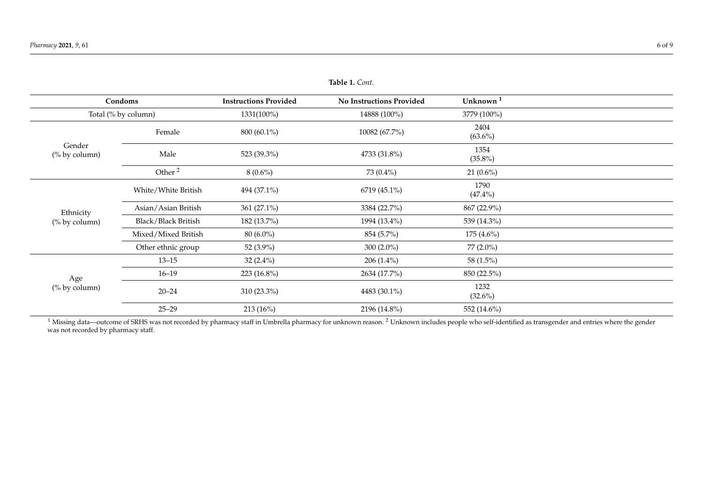| Condoms                    |                     | <b>Instructions Provided</b> | <b>No Instructions Provided</b> | Unknown <sup>1</sup> |  |
|----------------------------|---------------------|------------------------------|---------------------------------|----------------------|--|
| Total (% by column)        |                     | 1331(100%)                   | 14888 (100%)                    | 3779 (100%)          |  |
| Gender<br>(% by column)    | Female              | 800 (60.1%)                  | 10082 (67.7%)                   | 2404<br>$(63.6\%)$   |  |
|                            | Male                | 523 (39.3%)                  | 4733 (31.8%)                    | 1354<br>$(35.8\%)$   |  |
|                            | Other <sup>2</sup>  | $8(0.6\%)$                   | 73 (0.4%)                       | $21(0.6\%)$          |  |
| Ethnicity<br>(% by column) | White/White British | 494 (37.1%)                  | 6719 (45.1%)                    | 1790<br>$(47.4\%)$   |  |
|                            | Asian/Asian British | 361 (27.1%)                  | 3384 (22.7%)                    | 867 (22.9%)          |  |
|                            | Black/Black British | 182 (13.7%)                  | 1994 (13.4%)                    | 539 (14.3%)          |  |
|                            | Mixed/Mixed British | 80 (6.0%)                    | 854 (5.7%)                      | $175(4.6\%)$         |  |
|                            | Other ethnic group  | 52 (3.9%)                    | 300 $(2.0\%)$                   | 77 (2.0%)            |  |
| Age<br>(% by column)       | $13 - 15$           | 32 $(2.4\%)$                 | $206(1.4\%)$                    | 58 (1.5%)            |  |
|                            | $16 - 19$           | 223 (16.8%)                  | 2634 (17.7%)                    | 850 (22.5%)          |  |
|                            | $20 - 24$           | $310(23.3\%)$                | 4483 (30.1%)                    | 1232<br>$(32.6\%)$   |  |
|                            | $25 - 29$           | 213 (16%)                    | 2196 (14.8%)                    | 552 (14.6%)          |  |

**Table 1.** *Cont.*

<span id="page-5-0"></span><sup>1</sup> Missing data—outcome of SRHS was not recorded by pharmacy staff in Umbrella pharmacy for unknown reason. <sup>2</sup> Unknown includes people who self-identified as transgender and entries where the gender was not recorded by pharmacy staff.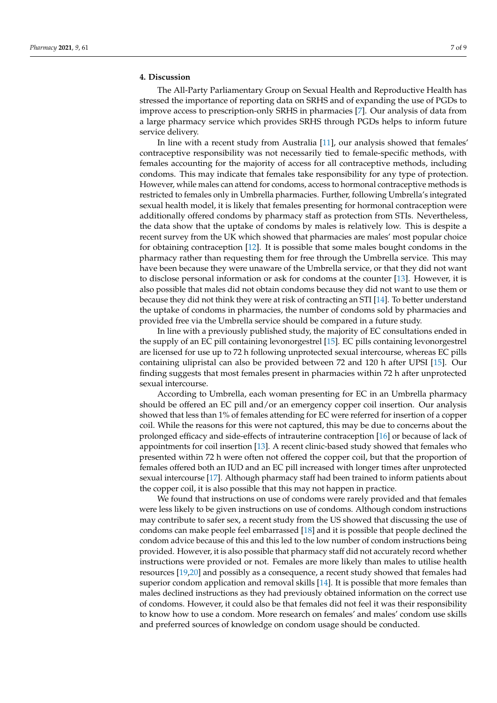## **4. Discussion**

The All-Party Parliamentary Group on Sexual Health and Reproductive Health has stressed the importance of reporting data on SRHS and of expanding the use of PGDs to improve access to prescription-only SRHS in pharmacies [\[7\]](#page-7-5). Our analysis of data from a large pharmacy service which provides SRHS through PGDs helps to inform future service delivery.

In line with a recent study from Australia [\[11\]](#page-8-3), our analysis showed that females' contraceptive responsibility was not necessarily tied to female-specific methods, with females accounting for the majority of access for all contraceptive methods, including condoms. This may indicate that females take responsibility for any type of protection. However, while males can attend for condoms, access to hormonal contraceptive methods is restricted to females only in Umbrella pharmacies. Further, following Umbrella's integrated sexual health model, it is likely that females presenting for hormonal contraception were additionally offered condoms by pharmacy staff as protection from STIs. Nevertheless, the data show that the uptake of condoms by males is relatively low. This is despite a recent survey from the UK which showed that pharmacies are males' most popular choice for obtaining contraception [\[12\]](#page-8-4). It is possible that some males bought condoms in the pharmacy rather than requesting them for free through the Umbrella service. This may have been because they were unaware of the Umbrella service, or that they did not want to disclose personal information or ask for condoms at the counter [\[13\]](#page-8-5). However, it is also possible that males did not obtain condoms because they did not want to use them or because they did not think they were at risk of contracting an STI [\[14\]](#page-8-6). To better understand the uptake of condoms in pharmacies, the number of condoms sold by pharmacies and provided free via the Umbrella service should be compared in a future study.

In line with a previously published study, the majority of EC consultations ended in the supply of an EC pill containing levonorgestrel [\[15\]](#page-8-7). EC pills containing levonorgestrel are licensed for use up to 72 h following unprotected sexual intercourse, whereas EC pills containing ulipristal can also be provided between 72 and 120 h after UPSI [\[15\]](#page-8-7). Our finding suggests that most females present in pharmacies within 72 h after unprotected sexual intercourse.

According to Umbrella, each woman presenting for EC in an Umbrella pharmacy should be offered an EC pill and/or an emergency copper coil insertion. Our analysis showed that less than 1% of females attending for EC were referred for insertion of a copper coil. While the reasons for this were not captured, this may be due to concerns about the prolonged efficacy and side-effects of intrauterine contraception [\[16\]](#page-8-8) or because of lack of appointments for coil insertion [\[13\]](#page-8-5). A recent clinic-based study showed that females who presented within 72 h were often not offered the copper coil, but that the proportion of females offered both an IUD and an EC pill increased with longer times after unprotected sexual intercourse [\[17\]](#page-8-9). Although pharmacy staff had been trained to inform patients about the copper coil, it is also possible that this may not happen in practice.

We found that instructions on use of condoms were rarely provided and that females were less likely to be given instructions on use of condoms. Although condom instructions may contribute to safer sex, a recent study from the US showed that discussing the use of condoms can make people feel embarrassed [\[18\]](#page-8-10) and it is possible that people declined the condom advice because of this and this led to the low number of condom instructions being provided. However, it is also possible that pharmacy staff did not accurately record whether instructions were provided or not. Females are more likely than males to utilise health resources [\[19](#page-8-11)[,20\]](#page-8-12) and possibly as a consequence, a recent study showed that females had superior condom application and removal skills [\[14\]](#page-8-6). It is possible that more females than males declined instructions as they had previously obtained information on the correct use of condoms. However, it could also be that females did not feel it was their responsibility to know how to use a condom. More research on females' and males' condom use skills and preferred sources of knowledge on condom usage should be conducted.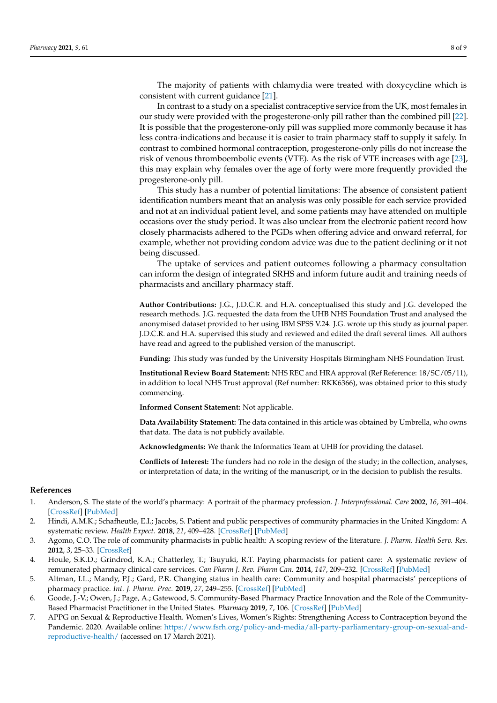The majority of patients with chlamydia were treated with doxycycline which is consistent with current guidance [\[21\]](#page-8-13).

In contrast to a study on a specialist contraceptive service from the UK, most females in our study were provided with the progesterone-only pill rather than the combined pill [\[22\]](#page-8-14). It is possible that the progesterone-only pill was supplied more commonly because it has less contra-indications and because it is easier to train pharmacy staff to supply it safely. In contrast to combined hormonal contraception, progesterone-only pills do not increase the risk of venous thromboembolic events (VTE). As the risk of VTE increases with age [\[23\]](#page-8-15), this may explain why females over the age of forty were more frequently provided the progesterone-only pill.

This study has a number of potential limitations: The absence of consistent patient identification numbers meant that an analysis was only possible for each service provided and not at an individual patient level, and some patients may have attended on multiple occasions over the study period. It was also unclear from the electronic patient record how closely pharmacists adhered to the PGDs when offering advice and onward referral, for example, whether not providing condom advice was due to the patient declining or it not being discussed.

The uptake of services and patient outcomes following a pharmacy consultation can inform the design of integrated SRHS and inform future audit and training needs of pharmacists and ancillary pharmacy staff.

**Author Contributions:** J.G., J.D.C.R. and H.A. conceptualised this study and J.G. developed the research methods. J.G. requested the data from the UHB NHS Foundation Trust and analysed the anonymised dataset provided to her using IBM SPSS V.24. J.G. wrote up this study as journal paper. J.D.C.R. and H.A. supervised this study and reviewed and edited the draft several times. All authors have read and agreed to the published version of the manuscript.

**Funding:** This study was funded by the University Hospitals Birmingham NHS Foundation Trust.

**Institutional Review Board Statement:** NHS REC and HRA approval (Ref Reference: 18/SC/05/11), in addition to local NHS Trust approval (Ref number: RKK6366), was obtained prior to this study commencing.

**Informed Consent Statement:** Not applicable.

**Data Availability Statement:** The data contained in this article was obtained by Umbrella, who owns that data. The data is not publicly available.

**Acknowledgments:** We thank the Informatics Team at UHB for providing the dataset.

**Conflicts of Interest:** The funders had no role in the design of the study; in the collection, analyses, or interpretation of data; in the writing of the manuscript, or in the decision to publish the results.

### **References**

- <span id="page-7-0"></span>1. Anderson, S. The state of the world's pharmacy: A portrait of the pharmacy profession. *J. Interprofessional. Care* **2002**, *16*, 391–404. [\[CrossRef\]](http://doi.org/10.1080/1356182021000008337) [\[PubMed\]](http://www.ncbi.nlm.nih.gov/pubmed/12487847)
- <span id="page-7-1"></span>2. Hindi, A.M.K.; Schafheutle, E.I.; Jacobs, S. Patient and public perspectives of community pharmacies in the United Kingdom: A systematic review. *Health Expect.* **2018**, *21*, 409–428. [\[CrossRef\]](http://doi.org/10.1111/hex.12639) [\[PubMed\]](http://www.ncbi.nlm.nih.gov/pubmed/29114971)
- 3. Agomo, C.O. The role of community pharmacists in public health: A scoping review of the literature. *J. Pharm. Health Serv. Res.* **2012**, *3*, 25–33. [\[CrossRef\]](http://doi.org/10.1111/j.1759-8893.2011.00074.x)
- <span id="page-7-2"></span>4. Houle, S.K.D.; Grindrod, K.A.; Chatterley, T.; Tsuyuki, R.T. Paying pharmacists for patient care: A systematic review of remunerated pharmacy clinical care services. *Can Pharm J. Rev. Pharm Can.* **2014**, *147*, 209–232. [\[CrossRef\]](http://doi.org/10.1177/1715163514536678) [\[PubMed\]](http://www.ncbi.nlm.nih.gov/pubmed/25360148)
- <span id="page-7-3"></span>5. Altman, I.L.; Mandy, P.J.; Gard, P.R. Changing status in health care: Community and hospital pharmacists' perceptions of pharmacy practice. *Int. J. Pharm. Prac.* **2019**, *27*, 249–255. [\[CrossRef\]](http://doi.org/10.1111/ijpp.12505) [\[PubMed\]](http://www.ncbi.nlm.nih.gov/pubmed/30592351)
- <span id="page-7-4"></span>6. Goode, J.-V.; Owen, J.; Page, A.; Gatewood, S. Community-Based Pharmacy Practice Innovation and the Role of the Community-Based Pharmacist Practitioner in the United States. *Pharmacy* **2019**, *7*, 106. [\[CrossRef\]](http://doi.org/10.3390/pharmacy7030106) [\[PubMed\]](http://www.ncbi.nlm.nih.gov/pubmed/31382690)
- <span id="page-7-5"></span>7. APPG on Sexual & Reproductive Health. Women's Lives, Women's Rights: Strengthening Access to Contraception beyond the Pandemic. 2020. Available online: [https://www.fsrh.org/policy-and-media/all-party-parliamentary-group-on-sexual-and](https://www.fsrh.org/policy-and-media/all-party-parliamentary-group-on-sexual-and-reproductive-health/)[reproductive-health/](https://www.fsrh.org/policy-and-media/all-party-parliamentary-group-on-sexual-and-reproductive-health/) (accessed on 17 March 2021).